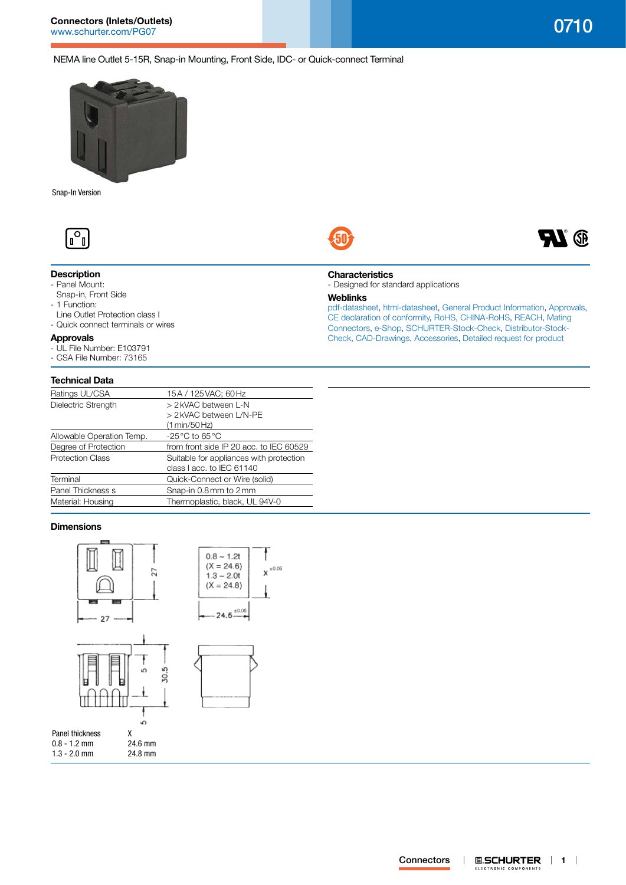**H** 

NEMA line Outlet 5-15R, Snap-in Mounting, Front Side, IDC- or Quick-connect Terminal



Snap-In Version



# **Description**

- Panel Mount:
- Snap-in, Front Side
- 1 Function:
- Line Outlet Protection class I
- Quick connect terminals or wires

## **Approvals**

- UL File Number: E103791
- CSA File Number: 73165

## **Technical Data**

| Ratings UL/CSA            | 15A / 125 VAC; 60 Hz                                                 |
|---------------------------|----------------------------------------------------------------------|
| Dielectric Strength       | > 2 kVAC between L-N                                                 |
|                           | > 2 kVAC between L/N-PE                                              |
|                           | (1 min/50 Hz)                                                        |
| Allowable Operation Temp. | -25 °C to 65 °C                                                      |
| Degree of Protection      | from front side IP 20 acc. to IEC 60529                              |
| <b>Protection Class</b>   | Suitable for appliances with protection<br>class I acc. to IEC 61140 |
| Terminal                  | Quick-Connect or Wire (solid)                                        |
| Panel Thickness s         | Snap-in 0.8mm to 2mm                                                 |
| Material: Housing         | Thermoplastic, black, UL 94V-0                                       |
|                           |                                                                      |

## **Dimensions**



| χ       |
|---------|
| 24.6 mm |
| 24.8 mm |
|         |





[pdf-datasheet](http://www.schurter.ch/pdf/english/typ_0710.pdf), [html-datasheet](http://www.schurter.ch/en/datasheet/0710), [General Product Information,](http://www.schurter.ch/products/iec_connector_overview.asp) [Approvals](http://www.schurter.ch/en//Documents-References/Approvals/(id)/0710), [CE declaration of conformity,](http://www.schurter.com/en//Documents-References/Approvals/(id)/0710+AND+FIELD+CertificationInstitute=SAG) [RoHS](http://www.schurter.ch/company/rohs.asp), [CHINA-RoHS](http://www.schurter.ch/company/china_rohs.asp), [REACH,](http://www.schurter.ch/REACH) [Mating](http://www.schurter.ch/Components/Connectors/Mating-Connectors)  [Connectors,](http://www.schurter.ch/Components/Connectors/Mating-Connectors) [e-Shop,](http://www.schurter.ch/en/datasheet/0710#Anker_Variants) [SCHURTER-Stock-Check](http://www.schurter.ch/Stock-Check/Stock-Check-SCHURTER?MAKTX=0710&COM_QTY=1&AUTOSEARCH=true), [Distributor-Stock-](http://www.schurter.com/Stock-Check/Stock-Check-Distributor?partnumber1=0710)[Check](http://www.schurter.com/Stock-Check/Stock-Check-Distributor?partnumber1=0710), [CAD-Drawings,](http://www.schurter.com/support/iframe_cad.asp?SearchText=0710&ConfirmButton&SearchFilter=Type) [Accessories,](http://www.schurter.ch/wwwsc/con_z01.asp) [Detailed request for product](http://www.schurter.com/Contacts/Contact-Form?type=0710)

#### **0.SCHURTER** | 1 | **Connectors**  $\overline{\phantom{a}}$ ELECTRONIC COMPONENTS